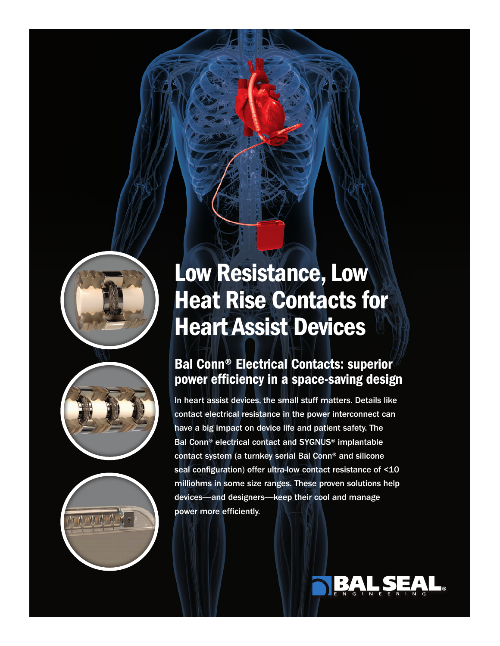





# Low Resistance, Low Heat Rise Contacts for Heart Assist Devices

## Bal Conn® Electrical Contacts: superior power efficiency in a space-saving design

In heart assist devices, the small stuff matters. Details like contact electrical resistance in the power interconnect can have a big impact on device life and patient safety. The Bal Conn® electrical contact and SYGNUS® implantable contact system (a turnkey serial Bal Conn® and silicone seal configuration) offer ultra-low contact resistance of <10 milliohms in some size ranges. These proven solutions help devices—and designers—keep their cool and manage power more efficiently.